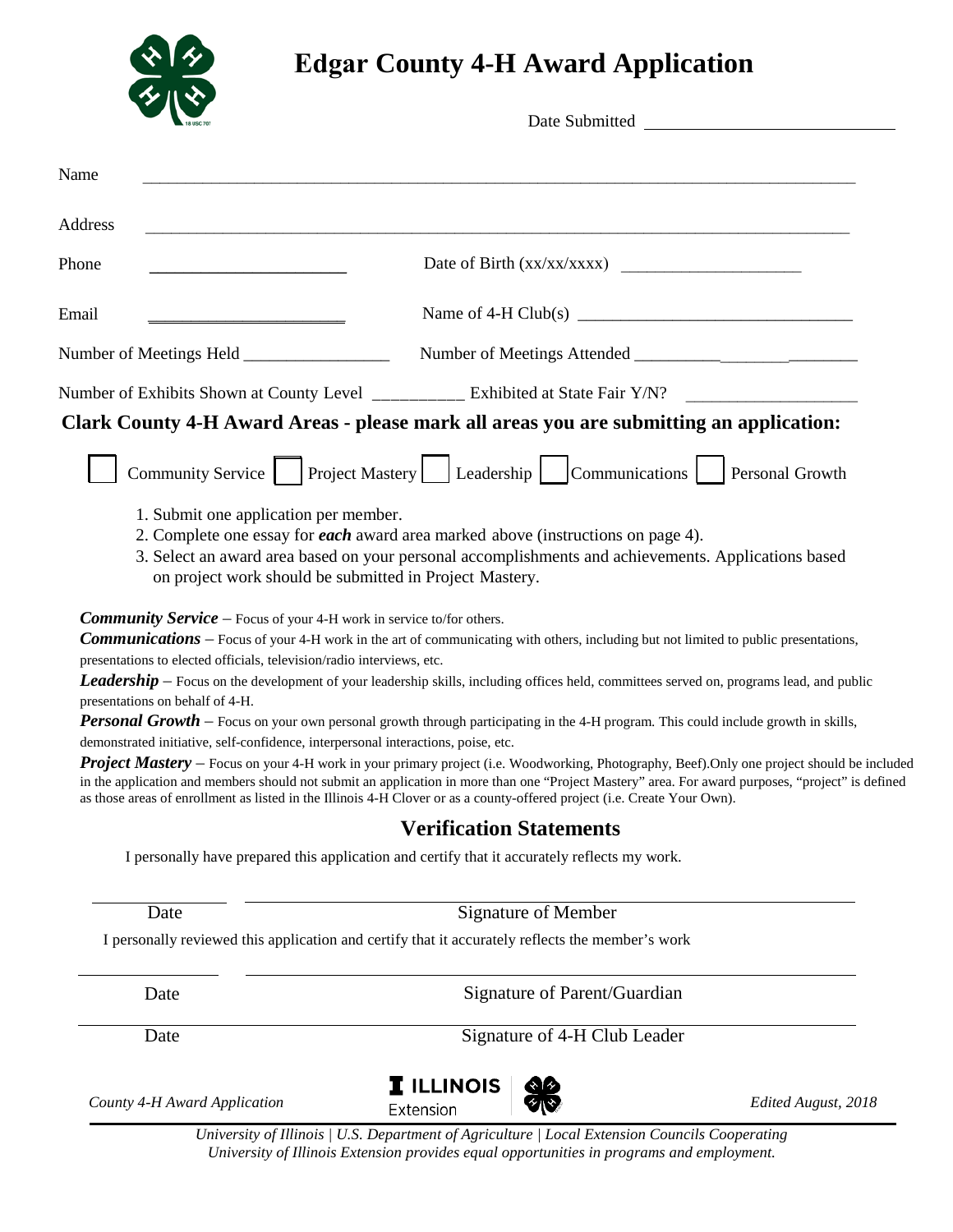

# **Edgar County 4-H Award Application**

| <u> 1980 - Jan Samuel Barbara, margaret eta bat zuen bat zuen bat zuen bat zuen bat zuen bat zuen bat zen bat z</u><br>Name of 4-H Club(s) $\frac{1}{2}$<br>Number of Exhibits Shown at County Level __________ Exhibited at State Fair Y/N?<br>Clark County 4-H Award Areas - please mark all areas you are submitting an application:<br>Community Service   Project Mastery   Leadership   Communications  <br>Personal Growth<br>2. Complete one essay for each award area marked above (instructions on page 4).<br>3. Select an award area based on your personal accomplishments and achievements. Applications based |
|------------------------------------------------------------------------------------------------------------------------------------------------------------------------------------------------------------------------------------------------------------------------------------------------------------------------------------------------------------------------------------------------------------------------------------------------------------------------------------------------------------------------------------------------------------------------------------------------------------------------------|
|                                                                                                                                                                                                                                                                                                                                                                                                                                                                                                                                                                                                                              |
|                                                                                                                                                                                                                                                                                                                                                                                                                                                                                                                                                                                                                              |
|                                                                                                                                                                                                                                                                                                                                                                                                                                                                                                                                                                                                                              |
|                                                                                                                                                                                                                                                                                                                                                                                                                                                                                                                                                                                                                              |
|                                                                                                                                                                                                                                                                                                                                                                                                                                                                                                                                                                                                                              |
|                                                                                                                                                                                                                                                                                                                                                                                                                                                                                                                                                                                                                              |
|                                                                                                                                                                                                                                                                                                                                                                                                                                                                                                                                                                                                                              |
|                                                                                                                                                                                                                                                                                                                                                                                                                                                                                                                                                                                                                              |
| on project work should be submitted in Project Mastery.<br><b>Communications</b> – Focus of your 4-H work in the art of communicating with others, including but not limited to public presentations,<br><b>Leadership</b> – Focus on the development of your leadership skills, including offices held, committees served on, programs lead, and public<br><b>Personal Growth</b> – Focus on your own personal growth through participating in the 4-H program. This could include growth in skills,                                                                                                                        |
| demonstrated initiative, self-confidence, interpersonal interactions, poise, etc.<br><b>Project Mastery</b> – Focus on your 4-H work in your primary project (i.e. Woodworking, Photography, Beef). Only one project should be included<br>in the application and members should not submit an application in more than one "Project Mastery" area. For award purposes, "project" is defined<br>as those areas of enrollment as listed in the Illinois 4-H Clover or as a county-offered project (i.e. Create Your Own).                                                                                                     |
| <b>Verification Statements</b>                                                                                                                                                                                                                                                                                                                                                                                                                                                                                                                                                                                               |
| I personally have prepared this application and certify that it accurately reflects my work.                                                                                                                                                                                                                                                                                                                                                                                                                                                                                                                                 |
| Signature of Member                                                                                                                                                                                                                                                                                                                                                                                                                                                                                                                                                                                                          |
| I personally reviewed this application and certify that it accurately reflects the member's work                                                                                                                                                                                                                                                                                                                                                                                                                                                                                                                             |
| Signature of Parent/Guardian                                                                                                                                                                                                                                                                                                                                                                                                                                                                                                                                                                                                 |
| Signature of 4-H Club Leader                                                                                                                                                                                                                                                                                                                                                                                                                                                                                                                                                                                                 |
| Edited August, 2018                                                                                                                                                                                                                                                                                                                                                                                                                                                                                                                                                                                                          |
| University of Illinois   U.S. Department of Agriculture   Local Extension Councils Cooperating                                                                                                                                                                                                                                                                                                                                                                                                                                                                                                                               |

*University of Illinois Extension provides equal opportunities in programs and employment.*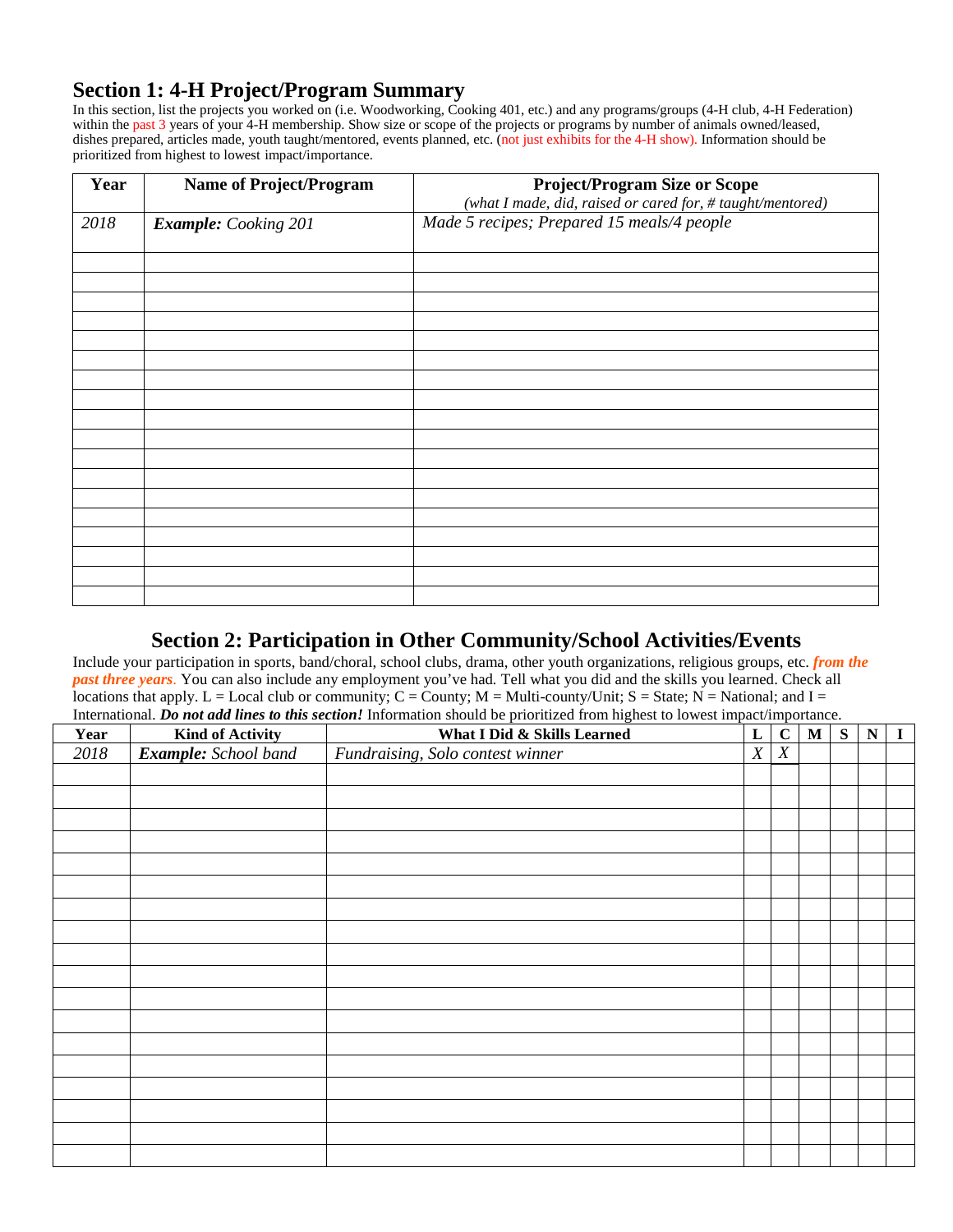### **Section 1: 4-H Project/Program Summary**

In this section, list the projects you worked on (i.e. Woodworking, Cooking 401, etc.) and any programs/groups (4-H club, 4-H Federation) within the past 3 years of your 4-H membership. Show size or scope of the projects or programs by number of animals owned/leased, dishes prepared, articles made, youth taught/mentored, events planned, etc. (not just exhibits for the 4-H show). Information should be prioritized from highest to lowest impact/importance.

| Year | <b>Name of Project/Program</b> | <b>Project/Program Size or Scope</b>                       |
|------|--------------------------------|------------------------------------------------------------|
|      |                                | (what I made, did, raised or cared for, # taught/mentored) |
| 2018 | <b>Example:</b> Cooking 201    | Made 5 recipes; Prepared 15 meals/4 people                 |
|      |                                |                                                            |
|      |                                |                                                            |
|      |                                |                                                            |
|      |                                |                                                            |
|      |                                |                                                            |
|      |                                |                                                            |
|      |                                |                                                            |
|      |                                |                                                            |
|      |                                |                                                            |
|      |                                |                                                            |
|      |                                |                                                            |
|      |                                |                                                            |
|      |                                |                                                            |
|      |                                |                                                            |
|      |                                |                                                            |
|      |                                |                                                            |
|      |                                |                                                            |
|      |                                |                                                            |

## **Section 2: Participation in Other Community/School Activities/Events**

Include your participation in sports, band/choral, school clubs, drama, other youth organizations, religious groups, etc. *from the past three years*. You can also include any employment you've had*.* Tell what you did and the skills you learned. Check all locations that apply. L = Local club or community;  $C =$  County; M = Multi-county/Unit; S = State; N = National; and I = International. *Do not add lines to this section!* Information should be prioritized from highest to lowest impact/importance.

| Year              | <b>Kind of Activity</b> | micriational. Do not and thes to this section: micrimation should be prioritized from highest to lowest impact importance.<br>What I Did & Skills Learned | L | $\mathbf C$      | ${\bf M}$ | S | ${\bf N}$ | $\bf{I}$ |
|-------------------|-------------------------|-----------------------------------------------------------------------------------------------------------------------------------------------------------|---|------------------|-----------|---|-----------|----------|
| $\overline{2018}$ | Example: School band    | Fundraising, Solo contest winner                                                                                                                          | X | $\boldsymbol{X}$ |           |   |           |          |
|                   |                         |                                                                                                                                                           |   |                  |           |   |           |          |
|                   |                         |                                                                                                                                                           |   |                  |           |   |           |          |
|                   |                         |                                                                                                                                                           |   |                  |           |   |           |          |
|                   |                         |                                                                                                                                                           |   |                  |           |   |           |          |
|                   |                         |                                                                                                                                                           |   |                  |           |   |           |          |
|                   |                         |                                                                                                                                                           |   |                  |           |   |           |          |
|                   |                         |                                                                                                                                                           |   |                  |           |   |           |          |
|                   |                         |                                                                                                                                                           |   |                  |           |   |           |          |
|                   |                         |                                                                                                                                                           |   |                  |           |   |           |          |
|                   |                         |                                                                                                                                                           |   |                  |           |   |           |          |
|                   |                         |                                                                                                                                                           |   |                  |           |   |           |          |
|                   |                         |                                                                                                                                                           |   |                  |           |   |           |          |
|                   |                         |                                                                                                                                                           |   |                  |           |   |           |          |
|                   |                         |                                                                                                                                                           |   |                  |           |   |           |          |
|                   |                         |                                                                                                                                                           |   |                  |           |   |           |          |
|                   |                         |                                                                                                                                                           |   |                  |           |   |           |          |
|                   |                         |                                                                                                                                                           |   |                  |           |   |           |          |
|                   |                         |                                                                                                                                                           |   |                  |           |   |           |          |
|                   |                         |                                                                                                                                                           |   |                  |           |   |           |          |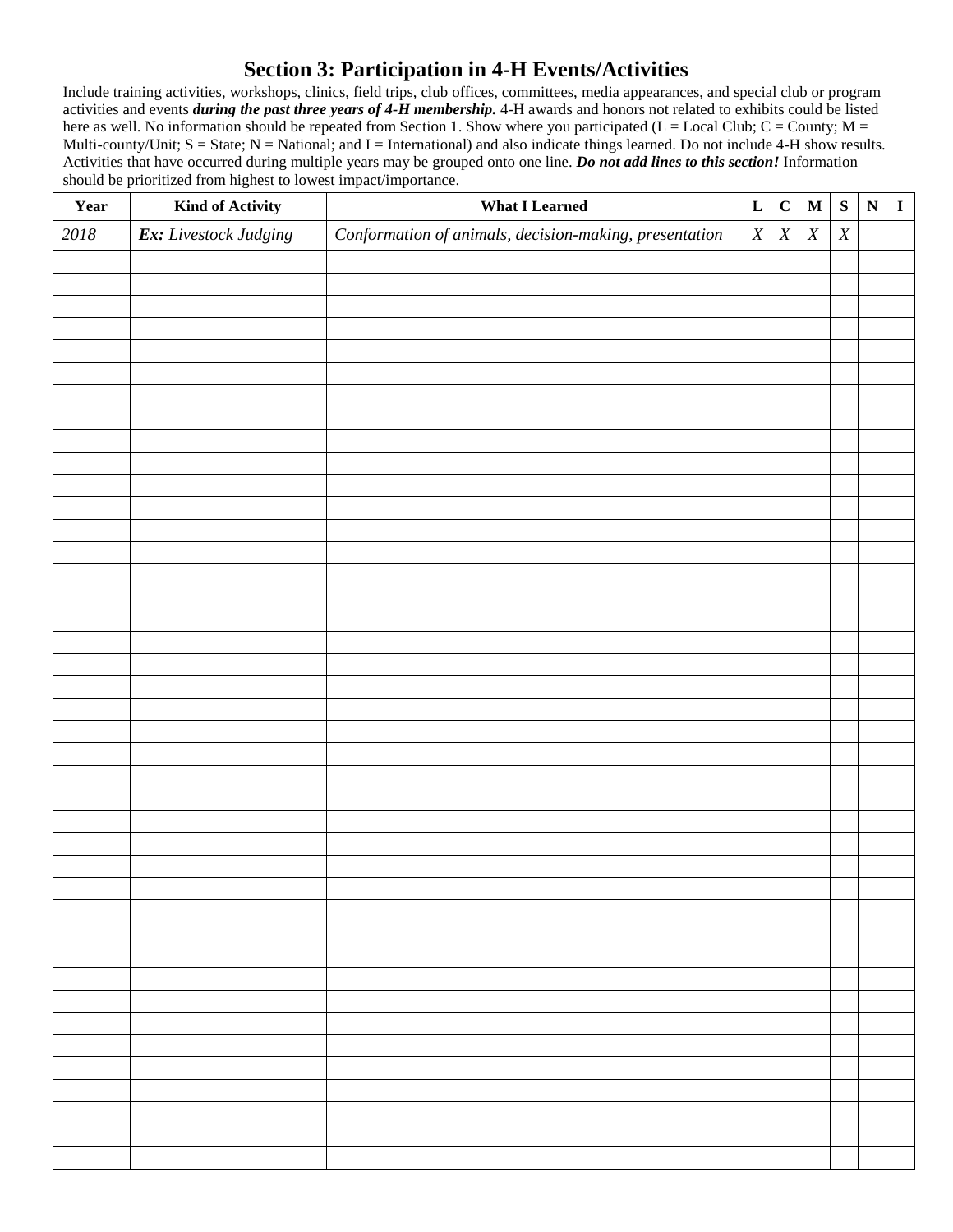### **Section 3: Participation in 4-H Events/Activities**

Include training activities, workshops, clinics, field trips, club offices, committees, media appearances, and special club or program activities and events *during the past three years of 4-H membership.* 4-H awards and honors not related to exhibits could be listed here as well. No information should be repeated from Section 1. Show where you participated (L = Local Club; C = County; M = Multi-county/Unit;  $S = State$ ;  $N = National$ ; and  $I = International$ ) and also indicate things learned. Do not include 4-H show results. Activities that have occurred during multiple years may be grouped onto one line. *Do not add lines to this section!* Information should be prioritized from highest to lowest impact/importance.

| Year     | <b>Kind of Activity</b> | <b>What I Learned</b>                                  | ${\bf L}$        | $\mathbf C$      | $\mathbf M$      | ${\bf S}$        | ${\bf N}$ | $\mathbf I$ |
|----------|-------------------------|--------------------------------------------------------|------------------|------------------|------------------|------------------|-----------|-------------|
| $2018\,$ | Ex: Livestock Judging   | Conformation of animals, decision-making, presentation | $\boldsymbol{X}$ | $\boldsymbol{X}$ | $\boldsymbol{X}$ | $\boldsymbol{X}$ |           |             |
|          |                         |                                                        |                  |                  |                  |                  |           |             |
|          |                         |                                                        |                  |                  |                  |                  |           |             |
|          |                         |                                                        |                  |                  |                  |                  |           |             |
|          |                         |                                                        |                  |                  |                  |                  |           |             |
|          |                         |                                                        |                  |                  |                  |                  |           |             |
|          |                         |                                                        |                  |                  |                  |                  |           |             |
|          |                         |                                                        |                  |                  |                  |                  |           |             |
|          |                         |                                                        |                  |                  |                  |                  |           |             |
|          |                         |                                                        |                  |                  |                  |                  |           |             |
|          |                         |                                                        |                  |                  |                  |                  |           |             |
|          |                         |                                                        |                  |                  |                  |                  |           |             |
|          |                         |                                                        |                  |                  |                  |                  |           |             |
|          |                         |                                                        |                  |                  |                  |                  |           |             |
|          |                         |                                                        |                  |                  |                  |                  |           |             |
|          |                         |                                                        |                  |                  |                  |                  |           |             |
|          |                         |                                                        |                  |                  |                  |                  |           |             |
|          |                         |                                                        |                  |                  |                  |                  |           |             |
|          |                         |                                                        |                  |                  |                  |                  |           |             |
|          |                         |                                                        |                  |                  |                  |                  |           |             |
|          |                         |                                                        |                  |                  |                  |                  |           |             |
|          |                         |                                                        |                  |                  |                  |                  |           |             |
|          |                         |                                                        |                  |                  |                  |                  |           |             |
|          |                         |                                                        |                  |                  |                  |                  |           |             |
|          |                         |                                                        |                  |                  |                  |                  |           |             |
|          |                         |                                                        |                  |                  |                  |                  |           |             |
|          |                         |                                                        |                  |                  |                  |                  |           |             |
|          |                         |                                                        |                  |                  |                  |                  |           |             |
|          |                         |                                                        |                  |                  |                  |                  |           |             |
|          |                         |                                                        |                  |                  |                  |                  |           |             |
|          |                         |                                                        |                  |                  |                  |                  |           |             |
|          |                         |                                                        |                  |                  |                  |                  |           |             |
|          |                         |                                                        |                  |                  |                  |                  |           |             |
|          |                         |                                                        |                  |                  |                  |                  |           |             |
|          |                         |                                                        |                  |                  |                  |                  |           |             |
|          |                         |                                                        |                  |                  |                  |                  |           |             |
|          |                         |                                                        |                  |                  |                  |                  |           |             |
|          |                         |                                                        |                  |                  |                  |                  |           |             |
|          |                         |                                                        |                  |                  |                  |                  |           |             |
|          |                         |                                                        |                  |                  |                  |                  |           |             |
|          |                         |                                                        |                  |                  |                  |                  |           |             |